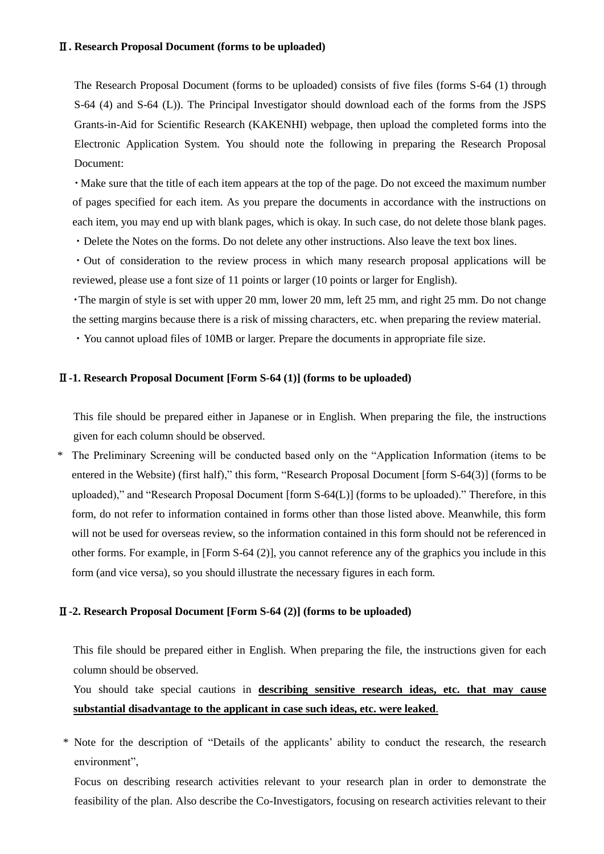# Ⅱ**. Research Proposal Document (forms to be uploaded)**

The Research Proposal Document (forms to be uploaded) consists of five files (forms S-64 (1) through S-64 (4) and S-64 (L)). The Principal Investigator should download each of the forms from the JSPS Grants-in-Aid for Scientific Research (KAKENHI) webpage, then upload the completed forms into the Electronic Application System. You should note the following in preparing the Research Proposal Document:

・Make sure that the title of each item appears at the top of the page. Do not exceed the maximum number of pages specified for each item. As you prepare the documents in accordance with the instructions on each item, you may end up with blank pages, which is okay. In such case, do not delete those blank pages.

・Delete the Notes on the forms. Do not delete any other instructions. Also leave the text box lines.

・Out of consideration to the review process in which many research proposal applications will be reviewed, please use a font size of 11 points or larger (10 points or larger for English).

・The margin of style is set with upper 20 mm, lower 20 mm, left 25 mm, and right 25 mm. Do not change the setting margins because there is a risk of missing characters, etc. when preparing the review material.

・You cannot upload files of 10MB or larger. Prepare the documents in appropriate file size.

#### Ⅱ**-1. Research Proposal Document [Form S-64 (1)] (forms to be uploaded)**

This file should be prepared either in Japanese or in English. When preparing the file, the instructions given for each column should be observed.

\* The Preliminary Screening will be conducted based only on the "Application Information (items to be entered in the Website) (first half)," this form, "Research Proposal Document [form S-64(3)] (forms to be uploaded)," and "Research Proposal Document [form S-64(L)] (forms to be uploaded)." Therefore, in this form, do not refer to information contained in forms other than those listed above. Meanwhile, this form will not be used for overseas review, so the information contained in this form should not be referenced in other forms. For example, in [Form S-64 (2)], you cannot reference any of the graphics you include in this form (and vice versa), so you should illustrate the necessary figures in each form.

### Ⅱ**-2. Research Proposal Document [Form S-64 (2)] (forms to be uploaded)**

This file should be prepared either in English. When preparing the file, the instructions given for each column should be observed.

# You should take special cautions in **describing sensitive research ideas, etc. that may cause substantial disadvantage to the applicant in case such ideas, etc. were leaked**.

\* Note for the description of "Details of the applicants' ability to conduct the research, the research environment",

Focus on describing research activities relevant to your research plan in order to demonstrate the feasibility of the plan. Also describe the Co-Investigators, focusing on research activities relevant to their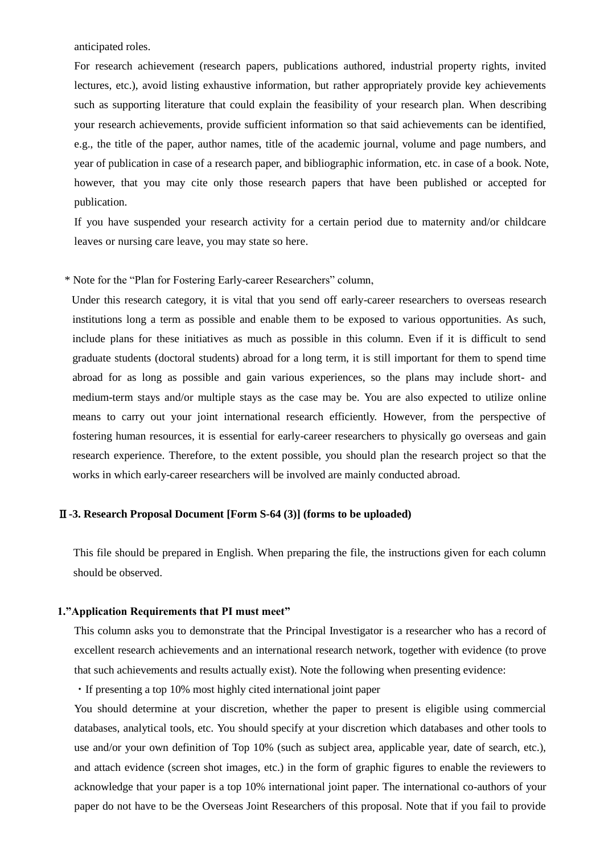anticipated roles.

For research achievement (research papers, publications authored, industrial property rights, invited lectures, etc.), avoid listing exhaustive information, but rather appropriately provide key achievements such as supporting literature that could explain the feasibility of your research plan. When describing your research achievements, provide sufficient information so that said achievements can be identified, e.g., the title of the paper, author names, title of the academic journal, volume and page numbers, and year of publication in case of a research paper, and bibliographic information, etc. in case of a book. Note, however, that you may cite only those research papers that have been published or accepted for publication.

If you have suspended your research activity for a certain period due to maternity and/or childcare leaves or nursing care leave, you may state so here.

\* Note for the "Plan for Fostering Early-career Researchers" column,

Under this research category, it is vital that you send off early-career researchers to overseas research institutions long a term as possible and enable them to be exposed to various opportunities. As such, include plans for these initiatives as much as possible in this column. Even if it is difficult to send graduate students (doctoral students) abroad for a long term, it is still important for them to spend time abroad for as long as possible and gain various experiences, so the plans may include short- and medium-term stays and/or multiple stays as the case may be. You are also expected to utilize online means to carry out your joint international research efficiently. However, from the perspective of fostering human resources, it is essential for early-career researchers to physically go overseas and gain research experience. Therefore, to the extent possible, you should plan the research project so that the works in which early-career researchers will be involved are mainly conducted abroad.

# Ⅱ**-3. Research Proposal Document [Form S-64 (3)] (forms to be uploaded)**

This file should be prepared in English. When preparing the file, the instructions given for each column should be observed.

## **1."Application Requirements that PI must meet"**

This column asks you to demonstrate that the Principal Investigator is a researcher who has a record of excellent research achievements and an international research network, together with evidence (to prove that such achievements and results actually exist). Note the following when presenting evidence:

・If presenting a top 10% most highly cited international joint paper

You should determine at your discretion, whether the paper to present is eligible using commercial databases, analytical tools, etc. You should specify at your discretion which databases and other tools to use and/or your own definition of Top 10% (such as subject area, applicable year, date of search, etc.), and attach evidence (screen shot images, etc.) in the form of graphic figures to enable the reviewers to acknowledge that your paper is a top 10% international joint paper. The international co-authors of your paper do not have to be the Overseas Joint Researchers of this proposal. Note that if you fail to provide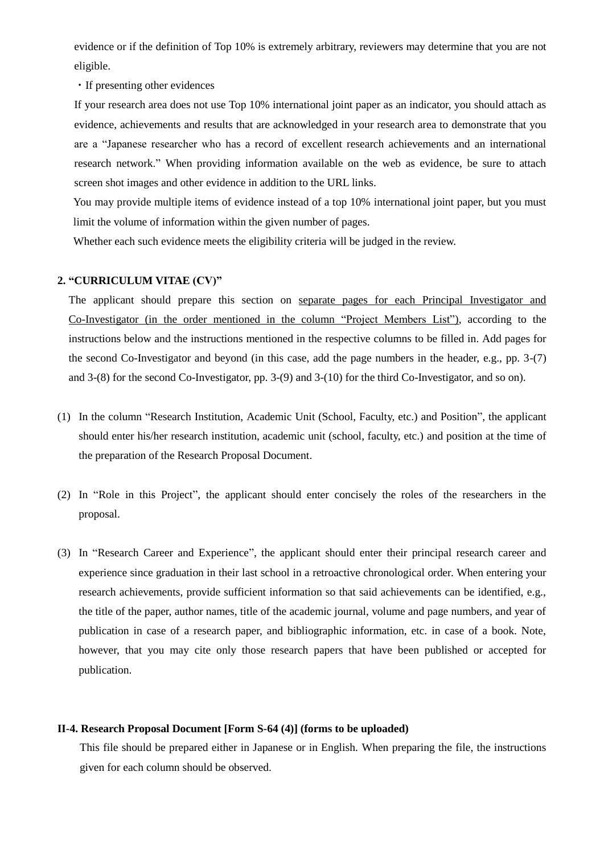evidence or if the definition of Top 10% is extremely arbitrary, reviewers may determine that you are not eligible.

・If presenting other evidences

If your research area does not use Top 10% international joint paper as an indicator, you should attach as evidence, achievements and results that are acknowledged in your research area to demonstrate that you are a "Japanese researcher who has a record of excellent research achievements and an international research network." When providing information available on the web as evidence, be sure to attach screen shot images and other evidence in addition to the URL links.

You may provide multiple items of evidence instead of a top 10% international joint paper, but you must limit the volume of information within the given number of pages.

Whether each such evidence meets the eligibility criteria will be judged in the review.

## **2. "CURRICULUM VITAE (CV)"**

The applicant should prepare this section on separate pages for each Principal Investigator and Co-Investigator (in the order mentioned in the column "Project Members List"), according to the instructions below and the instructions mentioned in the respective columns to be filled in. Add pages for the second Co-Investigator and beyond (in this case, add the page numbers in the header, e.g., pp. 3-(7) and 3-(8) for the second Co-Investigator, pp. 3-(9) and 3-(10) for the third Co-Investigator, and so on).

- (1) In the column "Research Institution, Academic Unit (School, Faculty, etc.) and Position", the applicant should enter his/her research institution, academic unit (school, faculty, etc.) and position at the time of the preparation of the Research Proposal Document.
- (2) In "Role in this Project", the applicant should enter concisely the roles of the researchers in the proposal.
- (3) In "Research Career and Experience", the applicant should enter their principal research career and experience since graduation in their last school in a retroactive chronological order. When entering your research achievements, provide sufficient information so that said achievements can be identified, e.g., the title of the paper, author names, title of the academic journal, volume and page numbers, and year of publication in case of a research paper, and bibliographic information, etc. in case of a book. Note, however, that you may cite only those research papers that have been published or accepted for publication.

## **Ⅱ-4. Research Proposal Document [Form S-64 (4)] (forms to be uploaded)**

This file should be prepared either in Japanese or in English. When preparing the file, the instructions given for each column should be observed.